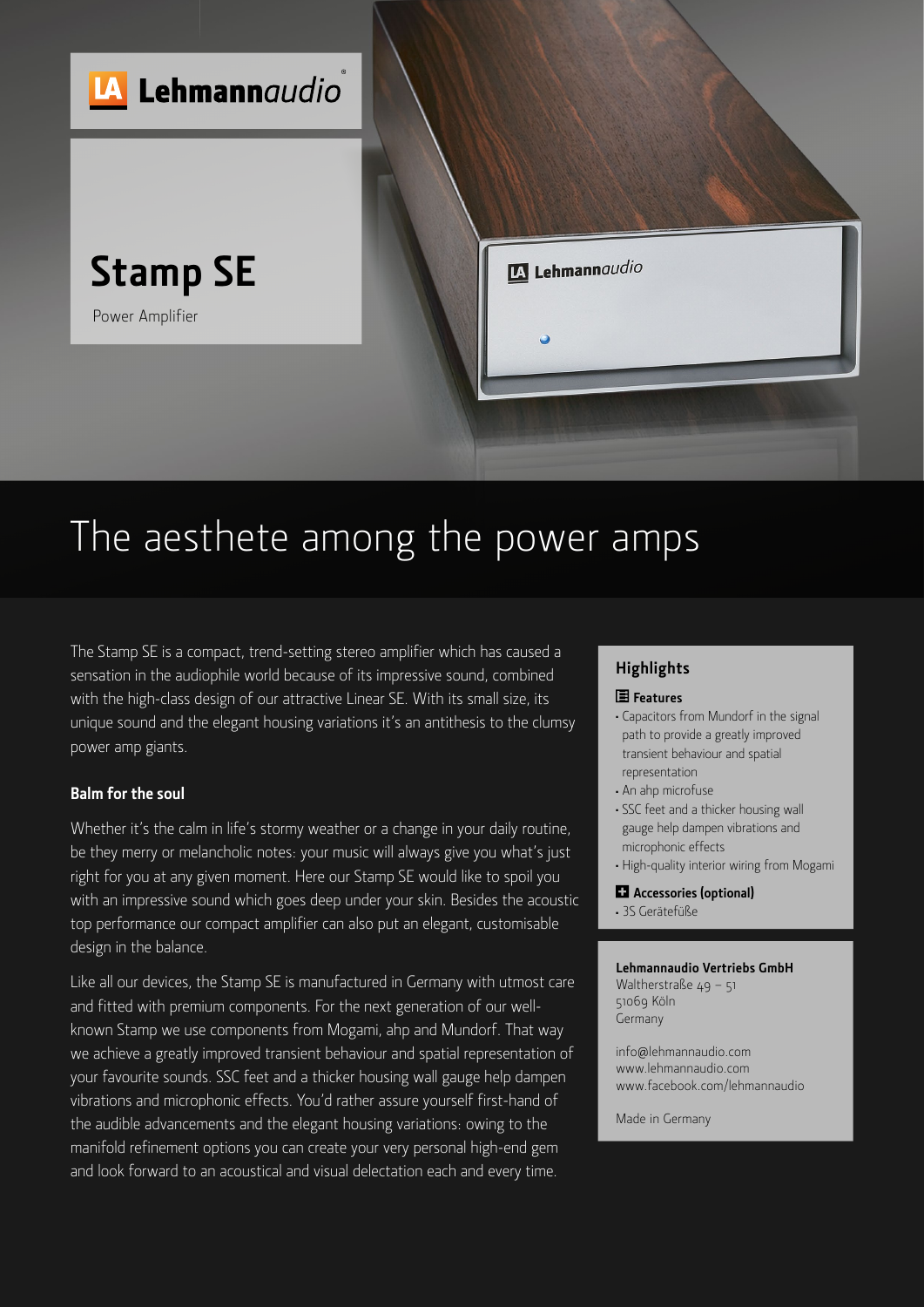

## The aesthete among the power amps

The Stamp SE is a compact, trend-setting stereo amplifier which has caused a sensation in the audiophile world because of its impressive sound, combined with the high-class design of our attractive Linear SE. With its small size, its unique sound and the elegant housing variations it's an antithesis to the clumsy power amp giants.

#### **Balm for the soul**

Whether it's the calm in life's stormy weather or a change in your daily routine, be they merry or melancholic notes: your music will always give you what's just right for you at any given moment. Here our Stamp SE would like to spoil you with an impressive sound which goes deep under your skin. Besides the acoustic top performance our compact amplifier can also put an elegant, customisable design in the balance.

Like all our devices, the Stamp SE is manufactured in Germany with utmost care and fitted with premium components. For the next generation of our wellknown Stamp we use components from Mogami, ahp and Mundorf. That way we achieve a greatly improved transient behaviour and spatial representation of your favourite sounds. SSC feet and a thicker housing wall gauge help dampen vibrations and microphonic effects. You'd rather assure yourself first-hand of the audible advancements and the elegant housing variations: owing to the manifold refinement options you can create your very personal high-end gem and look forward to an acoustical and visual delectation each and every time.

### **Highlights**

#### **Features**

- <sup>≠</sup> Capacitors from Mundorf in the signal path to provide a greatly improved transient behaviour and spatial representation
- <sup>≠</sup> An ahp microfuse
- <sup>≠</sup> SSC feet and a thicker housing wall gauge help dampen vibrations and microphonic effects
- <sup>≠</sup> High-quality interior wiring from Mogami
- **Accessories (optional)** <sup>≠</sup> 3S Gerätefüße

#### **Lehmannaudio Vertriebs GmbH**

Waltherstraße 49 – 51 51069 Köln Germany

info@lehmannaudio.com www.lehmannaudio.com www.facebook.com/lehmannaudio

Made in Germany